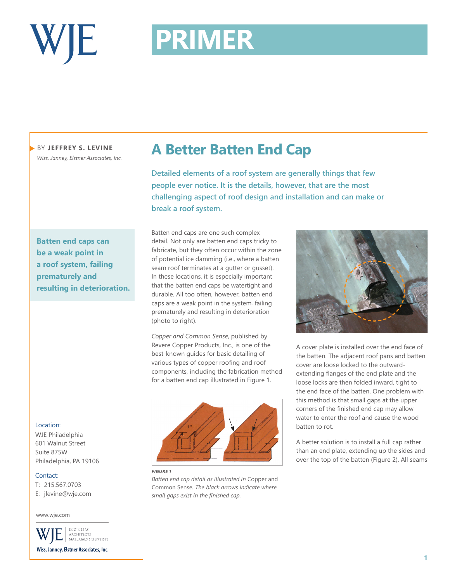

# **PRIMER PRIMER**

BY **JEFFREY S. LEVINE** *Wiss, Janney, Elstner Associates, Inc.*

**Batten end caps can be a weak point in a roof system, failing prematurely and resulting in deterioration.**

### Location:

WJE Philadelphia 601 Walnut Street Suite 875W Philadelphia, PA 19106

#### Contact:

T: 215.567.0703

E: jlevine@wje.com

#### www.wje.com

ENGINEERS ARCHITECTS<br>MATERIALS SCIENTISTS Wiss, Janney, Elstner Associates, Inc.

### **A Better Batten End Cap**

**Detailed elements of a roof system are generally things that few people ever notice. It is the details, however, that are the most challenging aspect of roof design and installation and can make or break a roof system.** 

Batten end caps are one such complex detail. Not only are batten end caps tricky to fabricate, but they often occur within the zone of potential ice damming (i.e., where a batten seam roof terminates at a gutter or gusset). In these locations, it is especially important that the batten end caps be watertight and durable. All too often, however, batten end caps are a weak point in the system, failing prematurely and resulting in deterioration (photo to right).

*Copper and Common Sense*, published by Revere Copper Products, Inc., is one of the best-known guides for basic detailing of various types of copper roofing and roof components, including the fabrication method for a batten end cap illustrated in Figure 1.



*FIGURE 1*

*Batten end cap detail as illustrated in* Copper and Common Sense*. The black arrows indicate where small gaps exist in the finished cap.*



A cover plate is installed over the end face of the batten. The adjacent roof pans and batten cover are loose locked to the outwardextending flanges of the end plate and the loose locks are then folded inward, tight to the end face of the batten. One problem with this method is that small gaps at the upper corners of the finished end cap may allow water to enter the roof and cause the wood batten to rot.

A better solution is to install a full cap rather than an end plate, extending up the sides and over the top of the batten (Figure 2). All seams